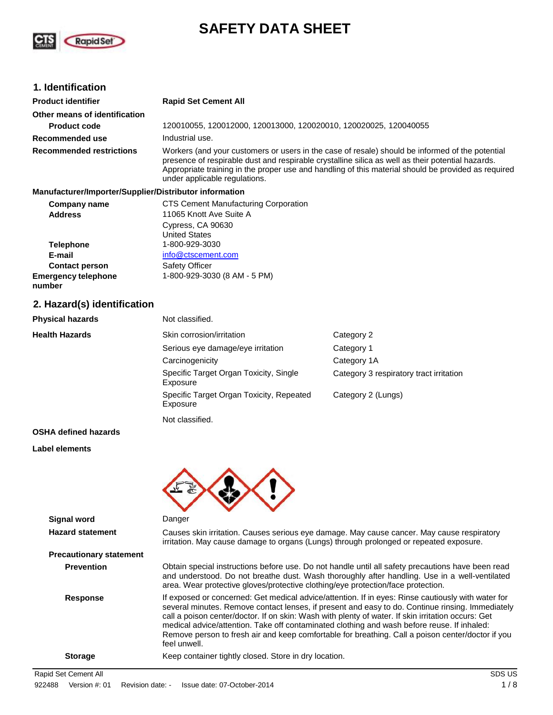

# **SAFETY DATA SHEET**

## **1. Identification**

| <b>Product identifier</b>       | <b>Rapid Set Cement All</b>                                                                                                                                                                                                                                                                                                                  |
|---------------------------------|----------------------------------------------------------------------------------------------------------------------------------------------------------------------------------------------------------------------------------------------------------------------------------------------------------------------------------------------|
| Other means of identification   |                                                                                                                                                                                                                                                                                                                                              |
| <b>Product code</b>             | 120010055, 120012000, 120013000, 120020010, 120020025, 120040055                                                                                                                                                                                                                                                                             |
| Recommended use                 | Industrial use.                                                                                                                                                                                                                                                                                                                              |
| <b>Recommended restrictions</b> | Workers (and your customers or users in the case of resale) should be informed of the potential<br>presence of respirable dust and respirable crystalline silica as well as their potential hazards.<br>Appropriate training in the proper use and handling of this material should be provided as required<br>under applicable regulations. |

#### **Manufacturer/Importer/Supplier/Distributor information**

| <b>Company name</b>                  | <b>CTS Cement Manufacturing Corporation</b> |  |
|--------------------------------------|---------------------------------------------|--|
| <b>Address</b>                       | 11065 Knott Ave Suite A                     |  |
|                                      | Cypress, CA 90630                           |  |
|                                      | <b>United States</b>                        |  |
| <b>Telephone</b>                     | 1-800-929-3030                              |  |
| E-mail                               | info@ctscement.com                          |  |
| <b>Contact person</b>                | <b>Safety Officer</b>                       |  |
| <b>Emergency telephone</b><br>number | 1-800-929-3030 (8 AM - 5 PM)                |  |

## **2. Hazard(s) identification**

| <b>Physical hazards</b>     | Not classified.                                      |                                         |
|-----------------------------|------------------------------------------------------|-----------------------------------------|
| <b>Health Hazards</b>       | Skin corrosion/irritation                            | Category 2                              |
|                             | Serious eye damage/eye irritation                    | Category 1                              |
|                             | Carcinogenicity                                      | Category 1A                             |
|                             | Specific Target Organ Toxicity, Single<br>Exposure   | Category 3 respiratory tract irritation |
|                             | Specific Target Organ Toxicity, Repeated<br>Exposure | Category 2 (Lungs)                      |
|                             | Not classified.                                      |                                         |
| <b>OSHA defined hazards</b> |                                                      |                                         |

## **Label elements**



| <b>Signal word</b>             | Danger                                                                                                                                                                                                                                                                                                                                                                                                                                                                                                                           |
|--------------------------------|----------------------------------------------------------------------------------------------------------------------------------------------------------------------------------------------------------------------------------------------------------------------------------------------------------------------------------------------------------------------------------------------------------------------------------------------------------------------------------------------------------------------------------|
| <b>Hazard statement</b>        | Causes skin irritation. Causes serious eye damage. May cause cancer. May cause respiratory<br>irritation. May cause damage to organs (Lungs) through prolonged or repeated exposure.                                                                                                                                                                                                                                                                                                                                             |
| <b>Precautionary statement</b> |                                                                                                                                                                                                                                                                                                                                                                                                                                                                                                                                  |
| <b>Prevention</b>              | Obtain special instructions before use. Do not handle until all safety precautions have been read<br>and understood. Do not breathe dust. Wash thoroughly after handling. Use in a well-ventilated<br>area. Wear protective gloves/protective clothing/eye protection/face protection.                                                                                                                                                                                                                                           |
| <b>Response</b>                | If exposed or concerned: Get medical advice/attention. If in eyes: Rinse cautiously with water for<br>several minutes. Remove contact lenses, if present and easy to do. Continue rinsing. Immediately<br>call a poison center/doctor. If on skin: Wash with plenty of water. If skin irritation occurs: Get<br>medical advice/attention. Take off contaminated clothing and wash before reuse. If inhaled:<br>Remove person to fresh air and keep comfortable for breathing. Call a poison center/doctor if you<br>feel unwell. |
| <b>Storage</b>                 | Keep container tightly closed. Store in dry location.                                                                                                                                                                                                                                                                                                                                                                                                                                                                            |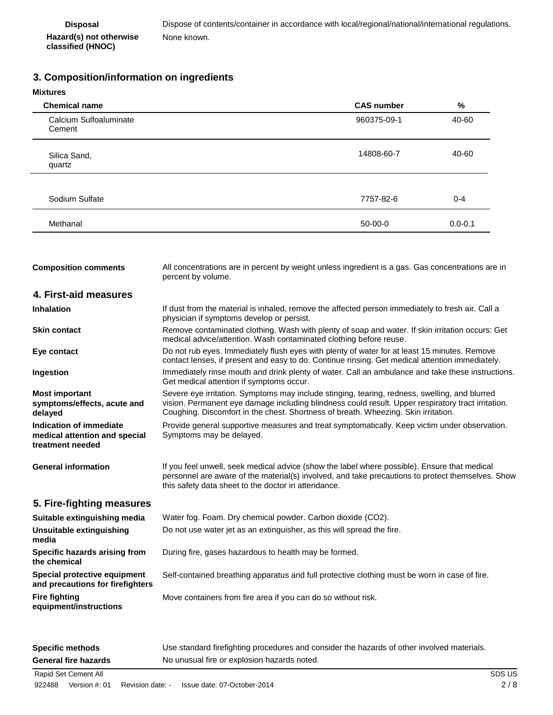## **3. Composition/information on ingredients**

| Mixtures |  |
|----------|--|
|          |  |

| MIXUIES                                                                      |                                                                                                                                                                                                                                                                                           |                   |             |
|------------------------------------------------------------------------------|-------------------------------------------------------------------------------------------------------------------------------------------------------------------------------------------------------------------------------------------------------------------------------------------|-------------------|-------------|
| <b>Chemical name</b>                                                         |                                                                                                                                                                                                                                                                                           | <b>CAS number</b> | $\%$        |
| Calcium Sulfoaluminate<br>Cement                                             |                                                                                                                                                                                                                                                                                           | 960375-09-1       | 40-60       |
| Silica Sand,<br>quartz                                                       |                                                                                                                                                                                                                                                                                           | 14808-60-7        | 40-60       |
| Sodium Sulfate                                                               |                                                                                                                                                                                                                                                                                           | 7757-82-6         | $0 - 4$     |
| Methanal                                                                     |                                                                                                                                                                                                                                                                                           | $50 - 00 - 0$     | $0.0 - 0.1$ |
| <b>Composition comments</b>                                                  | All concentrations are in percent by weight unless ingredient is a gas. Gas concentrations are in<br>percent by volume.                                                                                                                                                                   |                   |             |
| 4. First-aid measures                                                        |                                                                                                                                                                                                                                                                                           |                   |             |
| <b>Inhalation</b>                                                            | If dust from the material is inhaled, remove the affected person immediately to fresh air. Call a<br>physician if symptoms develop or persist.                                                                                                                                            |                   |             |
| <b>Skin contact</b>                                                          | Remove contaminated clothing. Wash with plenty of soap and water. If skin irritation occurs: Get<br>medical advice/attention. Wash contaminated clothing before reuse.                                                                                                                    |                   |             |
| Eye contact                                                                  | Do not rub eyes. Immediately flush eyes with plenty of water for at least 15 minutes. Remove<br>contact lenses, if present and easy to do. Continue rinsing. Get medical attention immediately.                                                                                           |                   |             |
| Ingestion                                                                    | Immediately rinse mouth and drink plenty of water. Call an ambulance and take these instructions.<br>Get medical attention if symptoms occur.                                                                                                                                             |                   |             |
| <b>Most important</b><br>symptoms/effects, acute and<br>delayed              | Severe eye irritation. Symptoms may include stinging, tearing, redness, swelling, and blurred<br>vision. Permanent eye damage including blindness could result. Upper respiratory tract irritation.<br>Coughing. Discomfort in the chest. Shortness of breath. Wheezing. Skin irritation. |                   |             |
| Indication of immediate<br>medical attention and special<br>treatment needed | Provide general supportive measures and treat symptomatically. Keep victim under observation.<br>Symptoms may be delayed.                                                                                                                                                                 |                   |             |
| <b>General information</b>                                                   | If you feel unwell, seek medical advice (show the label where possible). Ensure that medical<br>personnel are aware of the material(s) involved, and take precautions to protect themselves. Show<br>this safety data sheet to the doctor in attendance.                                  |                   |             |
| 5. Fire-fighting measures                                                    |                                                                                                                                                                                                                                                                                           |                   |             |
| Suitable extinguishing media                                                 | Water fog. Foam. Dry chemical powder. Carbon dioxide (CO2).                                                                                                                                                                                                                               |                   |             |
| <b>Unsuitable extinguishing</b><br>media                                     | Do not use water jet as an extinguisher, as this will spread the fire.                                                                                                                                                                                                                    |                   |             |

**Specific hazards arising from the chemical** During fire, gases hazardous to health may be formed.

**Special protective equipment and precautions for firefighters** Self-contained breathing apparatus and full protective clothing must be worn in case of fire.

Move containers from fire area if you can do so without risk.

**Fire fighting equipment/instructions**

| <b>Specific methods</b>     | Use standard firefighting procedures and consider the hazards of other involved materials. |  |
|-----------------------------|--------------------------------------------------------------------------------------------|--|
| <b>General fire hazards</b> | No unusual fire or explosion hazards noted.                                                |  |
| Rapid Set Cement All        |                                                                                            |  |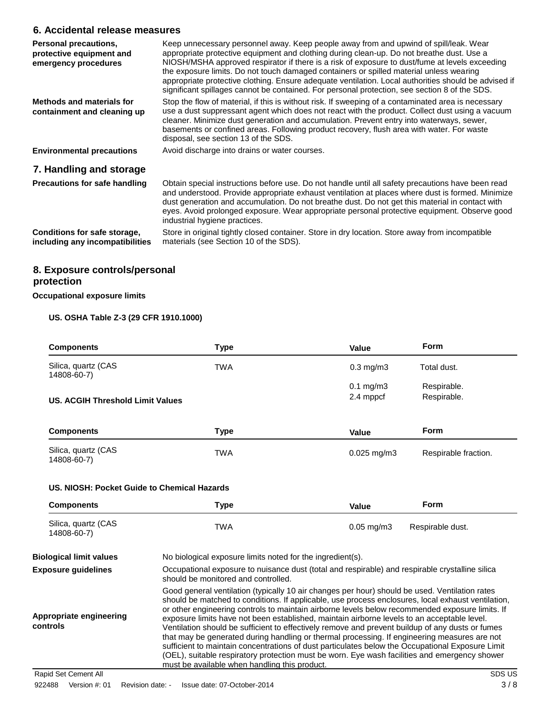### **6. Accidental release measures**

| Personal precautions,<br>protective equipment and<br>emergency procedures | Keep unnecessary personnel away. Keep people away from and upwind of spill/leak. Wear<br>appropriate protective equipment and clothing during clean-up. Do not breathe dust. Use a<br>NIOSH/MSHA approved respirator if there is a risk of exposure to dust/fume at levels exceeding<br>the exposure limits. Do not touch damaged containers or spilled material unless wearing<br>appropriate protective clothing. Ensure adequate ventilation. Local authorities should be advised if<br>significant spillages cannot be contained. For personal protection, see section 8 of the SDS. |
|---------------------------------------------------------------------------|------------------------------------------------------------------------------------------------------------------------------------------------------------------------------------------------------------------------------------------------------------------------------------------------------------------------------------------------------------------------------------------------------------------------------------------------------------------------------------------------------------------------------------------------------------------------------------------|
| <b>Methods and materials for</b><br>containment and cleaning up           | Stop the flow of material, if this is without risk. If sweeping of a contaminated area is necessary<br>use a dust suppressant agent which does not react with the product. Collect dust using a vacuum<br>cleaner. Minimize dust generation and accumulation. Prevent entry into waterways, sewer,<br>basements or confined areas. Following product recovery, flush area with water. For waste<br>disposal, see section 13 of the SDS.                                                                                                                                                  |
| <b>Environmental precautions</b>                                          | Avoid discharge into drains or water courses.                                                                                                                                                                                                                                                                                                                                                                                                                                                                                                                                            |
| 7. Handling and storage                                                   |                                                                                                                                                                                                                                                                                                                                                                                                                                                                                                                                                                                          |
| <b>Precautions for safe handling</b>                                      | Obtain special instructions before use. Do not handle until all safety precautions have been read<br>and understood. Provide appropriate exhaust ventilation at places where dust is formed. Minimize<br>dust generation and accumulation. Do not breathe dust. Do not get this material in contact with<br>eyes. Avoid prolonged exposure. Wear appropriate personal protective equipment. Observe good<br>industrial hygiene practices.                                                                                                                                                |
| Conditions for safe storage,<br>including any incompatibilities           | Store in original tightly closed container. Store in dry location. Store away from incompatible<br>materials (see Section 10 of the SDS).                                                                                                                                                                                                                                                                                                                                                                                                                                                |

## **8. Exposure controls/personal protection**

**Occupational exposure limits**

### **US. OSHA Table Z-3 (29 CFR 1910.1000)**

| <b>Components</b>                  | <b>Type</b> | Value                | <b>Form</b>          |
|------------------------------------|-------------|----------------------|----------------------|
| Silica, quartz (CAS<br>14808-60-7) | <b>TWA</b>  | $0.3$ mg/m $3$       | Total dust.          |
|                                    |             | $0.1 \text{ mg/m}$ 3 | Respirable.          |
| US. ACGIH Threshold Limit Values   |             | 2.4 mppcf            | Respirable.          |
| <b>Components</b>                  | <b>Type</b> | Value                | <b>Form</b>          |
| Silica, quartz (CAS<br>14808-60-7) | <b>TWA</b>  | $0.025$ mg/m3        | Respirable fraction. |

#### **US. NIOSH: Pocket Guide to Chemical Hazards**

| <b>Components</b>                  | Type | Value                   | Form             |
|------------------------------------|------|-------------------------|------------------|
| Silica, quartz (CAS<br>14808-60-7) | TWA  | $0.05 \,\mathrm{mq/m3}$ | Respirable dust. |

| <b>Biological limit values</b>      | No biological exposure limits noted for the ingredient(s).                                                                                                                                                                                                                                                                                                                                                                                                                                                                                                                                                                                                                                                                                                                                                                                                       |
|-------------------------------------|------------------------------------------------------------------------------------------------------------------------------------------------------------------------------------------------------------------------------------------------------------------------------------------------------------------------------------------------------------------------------------------------------------------------------------------------------------------------------------------------------------------------------------------------------------------------------------------------------------------------------------------------------------------------------------------------------------------------------------------------------------------------------------------------------------------------------------------------------------------|
| <b>Exposure guidelines</b>          | Occupational exposure to nuisance dust (total and respirable) and respirable crystalline silica<br>should be monitored and controlled.                                                                                                                                                                                                                                                                                                                                                                                                                                                                                                                                                                                                                                                                                                                           |
| Appropriate engineering<br>controls | Good general ventilation (typically 10 air changes per hour) should be used. Ventilation rates<br>should be matched to conditions. If applicable, use process enclosures, local exhaust ventilation,<br>or other engineering controls to maintain airborne levels below recommended exposure limits. If<br>exposure limits have not been established, maintain airborne levels to an acceptable level.<br>Ventilation should be sufficient to effectively remove and prevent buildup of any dusts or fumes<br>that may be generated during handling or thermal processing. If engineering measures are not<br>sufficient to maintain concentrations of dust particulates below the Occupational Exposure Limit<br>(OEL), suitable respiratory protection must be worn. Eye wash facilities and emergency shower<br>must be available when handling this product. |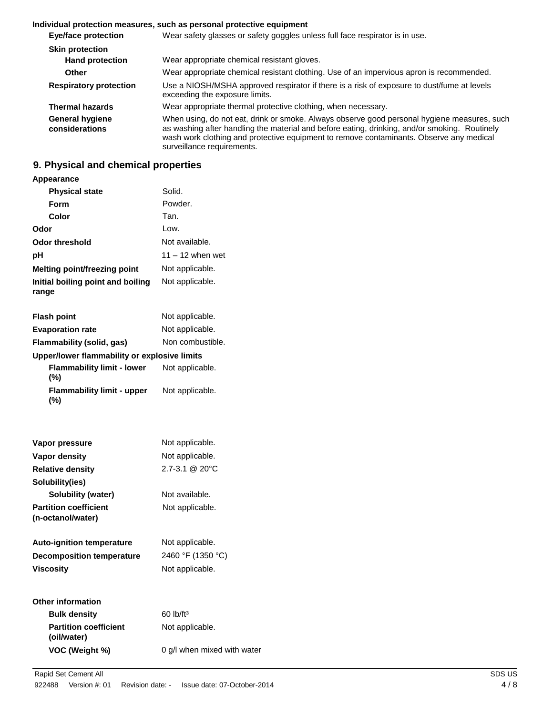#### **Individual protection measures, such as personal protective equipment**

| <b>Eye/face protection</b>               | Wear safety glasses or safety goggles unless full face respirator is in use.                                                                                                                                                                                                                                          |
|------------------------------------------|-----------------------------------------------------------------------------------------------------------------------------------------------------------------------------------------------------------------------------------------------------------------------------------------------------------------------|
| <b>Skin protection</b>                   |                                                                                                                                                                                                                                                                                                                       |
| <b>Hand protection</b>                   | Wear appropriate chemical resistant gloves.                                                                                                                                                                                                                                                                           |
| <b>Other</b>                             | Wear appropriate chemical resistant clothing. Use of an impervious apron is recommended.                                                                                                                                                                                                                              |
| <b>Respiratory protection</b>            | Use a NIOSH/MSHA approved respirator if there is a risk of exposure to dust/fume at levels<br>exceeding the exposure limits.                                                                                                                                                                                          |
| <b>Thermal hazards</b>                   | Wear appropriate thermal protective clothing, when necessary.                                                                                                                                                                                                                                                         |
| <b>General hygiene</b><br>considerations | When using, do not eat, drink or smoke. Always observe good personal hygiene measures, such<br>as washing after handling the material and before eating, drinking, and/or smoking. Routinely<br>wash work clothing and protective equipment to remove contaminants. Observe any medical<br>surveillance requirements. |

## **9. Physical and chemical properties**

#### **Appearance**

| <b>Physical state</b>                        | Solid.<br>Powder.                  |  |  |
|----------------------------------------------|------------------------------------|--|--|
| Form                                         |                                    |  |  |
| Color<br>Tan.                                |                                    |  |  |
| Odor                                         | Low.                               |  |  |
| Odor threshold                               | Not available.                     |  |  |
| рH                                           | $11 - 12$ when wet                 |  |  |
| <b>Melting point/freezing point</b>          | Not applicable.<br>Not applicable. |  |  |
| Initial boiling point and boiling<br>range   |                                    |  |  |
| <b>Flash point</b>                           | Not applicable.                    |  |  |
| <b>Evaporation rate</b>                      | Not applicable.                    |  |  |
| Flammability (solid, gas)                    | Non combustible.                   |  |  |
| Upper/lower flammability or explosive limits |                                    |  |  |
| <b>Flammability limit - lower</b><br>$(\%)$  | Not applicable.                    |  |  |
| <b>Flammability limit - upper</b><br>(%)     | Not applicable.                    |  |  |
| Vapor pressure                               | Not applicable.                    |  |  |
| <b>Vapor density</b>                         | Not applicable.                    |  |  |
|                                              | 2.7-3.1 @ 20°C                     |  |  |
| <b>Relative density</b><br>Solubility(ies)   |                                    |  |  |
| <b>Solubility (water)</b>                    | Not available.                     |  |  |
| <b>Partition coefficient</b>                 | Not applicable.                    |  |  |
| (n-octanol/water)                            |                                    |  |  |
| <b>Auto-ignition temperature</b>             | Not applicable.                    |  |  |
| <b>Decomposition temperature</b>             | 2460 °F (1350 °C)                  |  |  |
| <b>Viscosity</b>                             | Not applicable.                    |  |  |
| <b>Other information</b>                     |                                    |  |  |
| <b>Bulk density</b>                          | 60 lb/ft <sup>3</sup>              |  |  |
| <b>Partition coefficient</b><br>(oil/water)  | Not applicable.                    |  |  |
| VOC (Weight %)                               | 0 g/l when mixed with water        |  |  |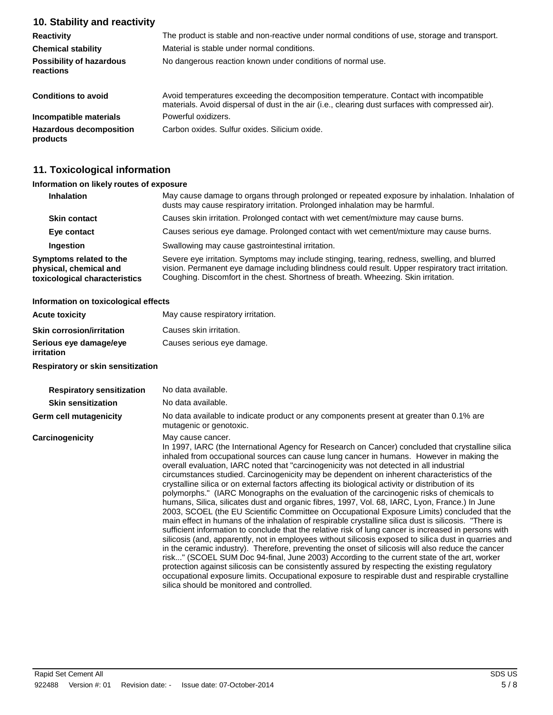## **10. Stability and reactivity**

| <b>Reactivity</b>                            | The product is stable and non-reactive under normal conditions of use, storage and transport.                                                                                              |  |  |
|----------------------------------------------|--------------------------------------------------------------------------------------------------------------------------------------------------------------------------------------------|--|--|
| <b>Chemical stability</b>                    | Material is stable under normal conditions.                                                                                                                                                |  |  |
| <b>Possibility of hazardous</b><br>reactions | No dangerous reaction known under conditions of normal use.                                                                                                                                |  |  |
| <b>Conditions to avoid</b>                   | Avoid temperatures exceeding the decomposition temperature. Contact with incompatible<br>materials. Avoid dispersal of dust in the air (i.e., clearing dust surfaces with compressed air). |  |  |
| Incompatible materials                       | Powerful oxidizers.                                                                                                                                                                        |  |  |
| <b>Hazardous decomposition</b><br>products   | Carbon oxides. Sulfur oxides. Silicium oxide.                                                                                                                                              |  |  |

## **11. Toxicological information**

#### **Information on likely routes of exposure**

| <b>Inhalation</b>                                                                  | May cause damage to organs through prolonged or repeated exposure by inhalation. Inhalation of<br>dusts may cause respiratory irritation. Prolonged inhalation may be harmful.<br>Causes skin irritation. Prolonged contact with wet cement/mixture may cause burns.                      |  |  |
|------------------------------------------------------------------------------------|-------------------------------------------------------------------------------------------------------------------------------------------------------------------------------------------------------------------------------------------------------------------------------------------|--|--|
| <b>Skin contact</b>                                                                |                                                                                                                                                                                                                                                                                           |  |  |
| Eye contact                                                                        | Causes serious eye damage. Prolonged contact with wet cement/mixture may cause burns.                                                                                                                                                                                                     |  |  |
| Ingestion                                                                          | Swallowing may cause gastrointestinal irritation.                                                                                                                                                                                                                                         |  |  |
| Symptoms related to the<br>physical, chemical and<br>toxicological characteristics | Severe eye irritation. Symptoms may include stinging, tearing, redness, swelling, and blurred<br>vision. Permanent eye damage including blindness could result. Upper respiratory tract irritation.<br>Coughing. Discomfort in the chest. Shortness of breath. Wheezing. Skin irritation. |  |  |

#### **Information on toxicological effects**

| <b>Acute toxicity</b>                | May cause respiratory irritation. |
|--------------------------------------|-----------------------------------|
| <b>Skin corrosion/irritation</b>     | Causes skin irritation.           |
| Serious eye damage/eye<br>irritation | Causes serious eye damage.        |

#### **Respiratory or skin sensitization**

| <b>Respiratory sensitization</b> | No data available.                                                                                                                                                                                                                                                                                                                                                                                                                                                                                                                                                                                                                                                                                                                                                                                                                                                                                                                                                                                                                                                                                                                                                                                                                                                                                                                                                                                                                                                                                                                                                                                    |
|----------------------------------|-------------------------------------------------------------------------------------------------------------------------------------------------------------------------------------------------------------------------------------------------------------------------------------------------------------------------------------------------------------------------------------------------------------------------------------------------------------------------------------------------------------------------------------------------------------------------------------------------------------------------------------------------------------------------------------------------------------------------------------------------------------------------------------------------------------------------------------------------------------------------------------------------------------------------------------------------------------------------------------------------------------------------------------------------------------------------------------------------------------------------------------------------------------------------------------------------------------------------------------------------------------------------------------------------------------------------------------------------------------------------------------------------------------------------------------------------------------------------------------------------------------------------------------------------------------------------------------------------------|
| <b>Skin sensitization</b>        | No data available.                                                                                                                                                                                                                                                                                                                                                                                                                                                                                                                                                                                                                                                                                                                                                                                                                                                                                                                                                                                                                                                                                                                                                                                                                                                                                                                                                                                                                                                                                                                                                                                    |
| Germ cell mutagenicity           | No data available to indicate product or any components present at greater than 0.1% are<br>mutagenic or genotoxic.                                                                                                                                                                                                                                                                                                                                                                                                                                                                                                                                                                                                                                                                                                                                                                                                                                                                                                                                                                                                                                                                                                                                                                                                                                                                                                                                                                                                                                                                                   |
| Carcinogenicity                  | May cause cancer.<br>In 1997, IARC (the International Agency for Research on Cancer) concluded that crystalline silica<br>inhaled from occupational sources can cause lung cancer in humans. However in making the<br>overall evaluation, IARC noted that "carcinogenicity was not detected in all industrial<br>circumstances studied. Carcinogenicity may be dependent on inherent characteristics of the<br>crystalline silica or on external factors affecting its biological activity or distribution of its<br>polymorphs." (IARC Monographs on the evaluation of the carcinogenic risks of chemicals to<br>humans, Silica, silicates dust and organic fibres, 1997, Vol. 68, IARC, Lyon, France.) In June<br>2003, SCOEL (the EU Scientific Committee on Occupational Exposure Limits) concluded that the<br>main effect in humans of the inhalation of respirable crystalline silica dust is silicosis. "There is<br>sufficient information to conclude that the relative risk of lung cancer is increased in persons with<br>silicosis (and, apparently, not in employees without silicosis exposed to silica dust in quarries and<br>in the ceramic industry). Therefore, preventing the onset of silicosis will also reduce the cancer<br>risk" (SCOEL SUM Doc 94-final, June 2003) According to the current state of the art, worker<br>protection against silicosis can be consistently assured by respecting the existing regulatory<br>occupational exposure limits. Occupational exposure to respirable dust and respirable crystalline<br>silica should be monitored and controlled. |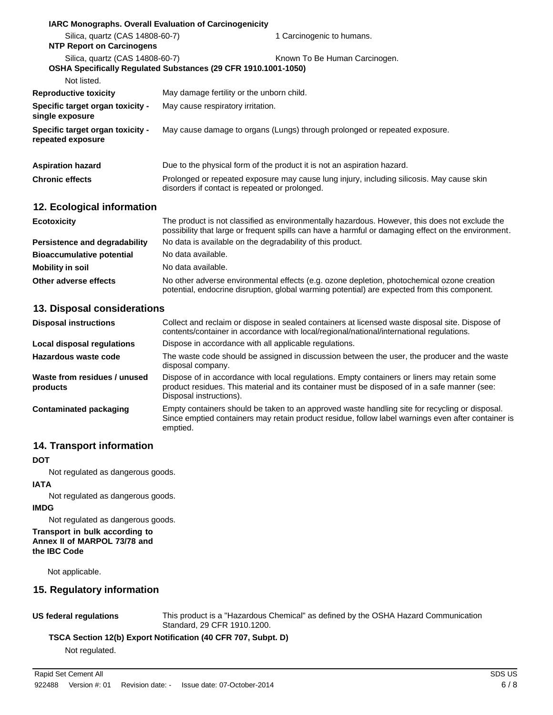|                                                       | <b>IARC Monographs. Overall Evaluation of Carcinogenicity</b>                                                                               |                                                                                                                                                                                                       |  |  |
|-------------------------------------------------------|---------------------------------------------------------------------------------------------------------------------------------------------|-------------------------------------------------------------------------------------------------------------------------------------------------------------------------------------------------------|--|--|
| Silica, quartz (CAS 14808-60-7)                       |                                                                                                                                             | 1 Carcinogenic to humans.                                                                                                                                                                             |  |  |
| <b>NTP Report on Carcinogens</b>                      |                                                                                                                                             |                                                                                                                                                                                                       |  |  |
| Silica, quartz (CAS 14808-60-7)                       | OSHA Specifically Regulated Substances (29 CFR 1910.1001-1050)                                                                              | Known To Be Human Carcinogen.                                                                                                                                                                         |  |  |
| Not listed.                                           |                                                                                                                                             |                                                                                                                                                                                                       |  |  |
| <b>Reproductive toxicity</b>                          | May damage fertility or the unborn child.                                                                                                   |                                                                                                                                                                                                       |  |  |
| Specific target organ toxicity -<br>single exposure   | May cause respiratory irritation.                                                                                                           |                                                                                                                                                                                                       |  |  |
| Specific target organ toxicity -<br>repeated exposure | May cause damage to organs (Lungs) through prolonged or repeated exposure.                                                                  |                                                                                                                                                                                                       |  |  |
| <b>Aspiration hazard</b>                              |                                                                                                                                             | Due to the physical form of the product it is not an aspiration hazard.                                                                                                                               |  |  |
| <b>Chronic effects</b>                                | Prolonged or repeated exposure may cause lung injury, including silicosis. May cause skin<br>disorders if contact is repeated or prolonged. |                                                                                                                                                                                                       |  |  |
| 12. Ecological information                            |                                                                                                                                             |                                                                                                                                                                                                       |  |  |
| <b>Ecotoxicity</b>                                    |                                                                                                                                             | The product is not classified as environmentally hazardous. However, this does not exclude the<br>possibility that large or frequent spills can have a harmful or damaging effect on the environment. |  |  |
| <b>Persistence and degradability</b>                  | No data is available on the degradability of this product.                                                                                  |                                                                                                                                                                                                       |  |  |
| <b>Bioaccumulative potential</b>                      | No data available.                                                                                                                          |                                                                                                                                                                                                       |  |  |
| <b>Mobility in soil</b>                               | No data available.                                                                                                                          |                                                                                                                                                                                                       |  |  |
| Other adverse effects                                 |                                                                                                                                             | No other adverse environmental effects (e.g. ozone depletion, photochemical ozone creation<br>potential, endocrine disruption, global warming potential) are expected from this component.            |  |  |
| 13 Dienosal considerations                            |                                                                                                                                             |                                                                                                                                                                                                       |  |  |

#### **13. Disposal considerations**

| <b>Disposal instructions</b>             | Collect and reclaim or dispose in sealed containers at licensed waste disposal site. Dispose of<br>contents/container in accordance with local/regional/national/international regulations.                            |
|------------------------------------------|------------------------------------------------------------------------------------------------------------------------------------------------------------------------------------------------------------------------|
| Local disposal regulations               | Dispose in accordance with all applicable regulations.                                                                                                                                                                 |
| Hazardous waste code                     | The waste code should be assigned in discussion between the user, the producer and the waste<br>disposal company.                                                                                                      |
| Waste from residues / unused<br>products | Dispose of in accordance with local regulations. Empty containers or liners may retain some<br>product residues. This material and its container must be disposed of in a safe manner (see:<br>Disposal instructions). |
| Contaminated packaging                   | Empty containers should be taken to an approved waste handling site for recycling or disposal.<br>Since emptied containers may retain product residue, follow label warnings even after container is<br>emptied.       |

### **14. Transport information**

#### **DOT**

Not regulated as dangerous goods.

#### **IATA**

Not regulated as dangerous goods.

#### **IMDG**

Not regulated as dangerous goods.

#### **Transport in bulk according to Annex II of MARPOL 73/78 and the IBC Code**

Not applicable.

## **15. Regulatory information**

**US federal regulations** This product is a "Hazardous Chemical" as defined by the OSHA Hazard Communication Standard, 29 CFR 1910.1200.

#### **TSCA Section 12(b) Export Notification (40 CFR 707, Subpt. D)**

Not regulated.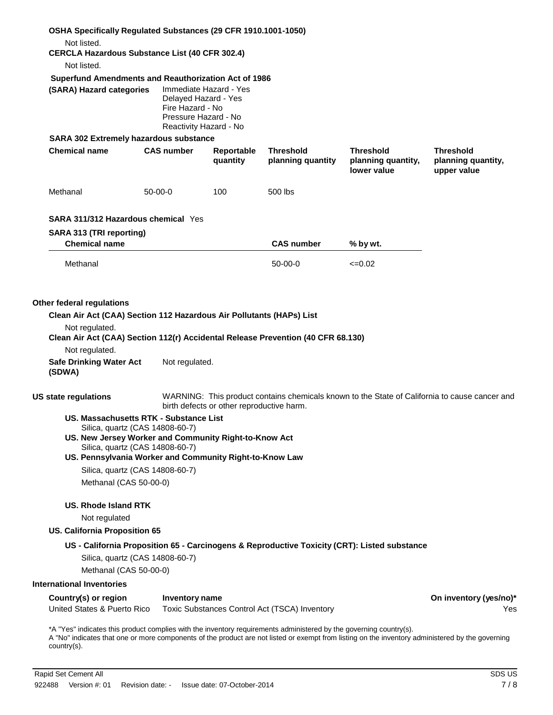| OSHA Specifically Regulated Substances (29 CFR 1910.1001-1050)<br>Not listed.<br><b>CERCLA Hazardous Substance List (40 CFR 302.4)</b>                                                                                                                                                   |                                                                  |                                                  |                                               |                                                                                              |                                                                                               |
|------------------------------------------------------------------------------------------------------------------------------------------------------------------------------------------------------------------------------------------------------------------------------------------|------------------------------------------------------------------|--------------------------------------------------|-----------------------------------------------|----------------------------------------------------------------------------------------------|-----------------------------------------------------------------------------------------------|
| Not listed.                                                                                                                                                                                                                                                                              |                                                                  |                                                  |                                               |                                                                                              |                                                                                               |
| Superfund Amendments and Reauthorization Act of 1986<br>(SARA) Hazard categories                                                                                                                                                                                                         | Delayed Hazard - Yes<br>Fire Hazard - No<br>Pressure Hazard - No | Immediate Hazard - Yes<br>Reactivity Hazard - No |                                               |                                                                                              |                                                                                               |
| <b>SARA 302 Extremely hazardous substance</b>                                                                                                                                                                                                                                            |                                                                  |                                                  |                                               |                                                                                              |                                                                                               |
| <b>Chemical name</b>                                                                                                                                                                                                                                                                     | <b>CAS number</b>                                                | Reportable<br>quantity                           | <b>Threshold</b><br>planning quantity         | <b>Threshold</b><br>planning quantity,<br>lower value                                        | <b>Threshold</b><br>planning quantity,<br>upper value                                         |
| Methanal                                                                                                                                                                                                                                                                                 | $50-00-0$                                                        | 100                                              | 500 lbs                                       |                                                                                              |                                                                                               |
| <b>SARA 311/312 Hazardous chemical Yes</b>                                                                                                                                                                                                                                               |                                                                  |                                                  |                                               |                                                                                              |                                                                                               |
| SARA 313 (TRI reporting)                                                                                                                                                                                                                                                                 |                                                                  |                                                  |                                               |                                                                                              |                                                                                               |
| <b>Chemical name</b>                                                                                                                                                                                                                                                                     |                                                                  |                                                  | <b>CAS number</b>                             | % by wt.                                                                                     |                                                                                               |
| Methanal                                                                                                                                                                                                                                                                                 |                                                                  |                                                  | $50-00-0$                                     | $\leq 0.02$                                                                                  |                                                                                               |
| Clean Air Act (CAA) Section 112(r) Accidental Release Prevention (40 CFR 68.130)<br>Not regulated.<br><b>Safe Drinking Water Act</b><br>(SDWA)                                                                                                                                           | Not regulated.                                                   |                                                  |                                               |                                                                                              |                                                                                               |
| <b>US state regulations</b>                                                                                                                                                                                                                                                              |                                                                  | birth defects or other reproductive harm.        |                                               |                                                                                              | WARNING: This product contains chemicals known to the State of California to cause cancer and |
| US. Massachusetts RTK - Substance List<br>Silica, quartz (CAS 14808-60-7)<br>US. New Jersey Worker and Community Right-to-Know Act<br>Silica, quartz (CAS 14808-60-7)<br>US. Pennsylvania Worker and Community Right-to-Know Law                                                         |                                                                  |                                                  |                                               |                                                                                              |                                                                                               |
| Silica, quartz (CAS 14808-60-7)                                                                                                                                                                                                                                                          |                                                                  |                                                  |                                               |                                                                                              |                                                                                               |
| Methanal (CAS 50-00-0)                                                                                                                                                                                                                                                                   |                                                                  |                                                  |                                               |                                                                                              |                                                                                               |
| <b>US. Rhode Island RTK</b>                                                                                                                                                                                                                                                              |                                                                  |                                                  |                                               |                                                                                              |                                                                                               |
| Not regulated                                                                                                                                                                                                                                                                            |                                                                  |                                                  |                                               |                                                                                              |                                                                                               |
| <b>US. California Proposition 65</b>                                                                                                                                                                                                                                                     |                                                                  |                                                  |                                               |                                                                                              |                                                                                               |
| Silica, quartz (CAS 14808-60-7)                                                                                                                                                                                                                                                          |                                                                  |                                                  |                                               | US - California Proposition 65 - Carcinogens & Reproductive Toxicity (CRT): Listed substance |                                                                                               |
| Methanal (CAS 50-00-0)                                                                                                                                                                                                                                                                   |                                                                  |                                                  |                                               |                                                                                              |                                                                                               |
| <b>International Inventories</b>                                                                                                                                                                                                                                                         |                                                                  |                                                  |                                               |                                                                                              |                                                                                               |
| Country(s) or region                                                                                                                                                                                                                                                                     |                                                                  |                                                  |                                               |                                                                                              | On inventory (yes/no)*                                                                        |
| United States & Puerto Rico                                                                                                                                                                                                                                                              | Inventory name                                                   |                                                  | Toxic Substances Control Act (TSCA) Inventory |                                                                                              | Yes                                                                                           |
| *A "Yes" indicates this product complies with the inventory requirements administered by the governing country(s).<br>A "No" indicates that one or more components of the product are not listed or exempt from listing on the inventory administered by the governing<br>$country(s)$ . |                                                                  |                                                  |                                               |                                                                                              |                                                                                               |